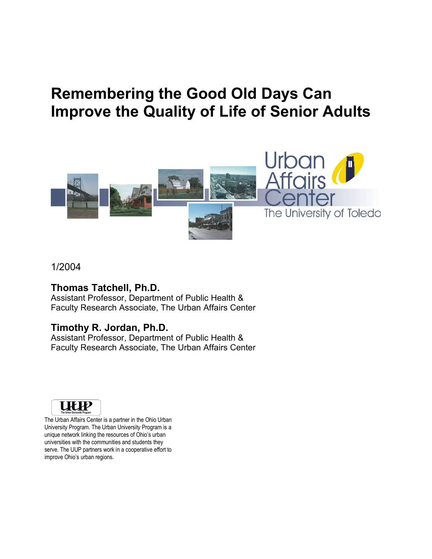# **Remembering the Good Old Days Can Improve the Quality of Life of Senior Adults**



#### 1/2004

#### **Thomas Tatchell, Ph.D.**

Assistant Professor, Department of Public Health & Faculty Research Associate, The Urban Affairs Center

### **Timothy R. Jordan, Ph.D.**

Assistant Professor, Department of Public Health & Faculty Research Associate, The Urban Affairs Center



The Urban Affairs Center is a partner in the Ohio Urban University Program. The Urban University Program is a unique network linking the resources of Ohio's urban universities with the communities and students they serve. The UUP partners work in a cooperative effort to improve Ohio's urban regions.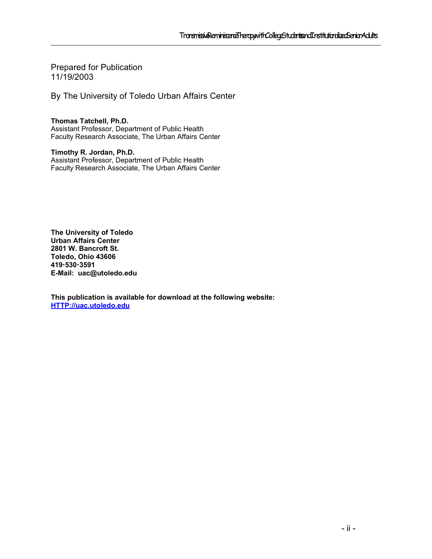Prepared for Publication 11/19/2003

By The University of Toledo Urban Affairs Center

**Thomas Tatchell, Ph.D.**  Assistant Professor, Department of Public Health Faculty Research Associate, The Urban Affairs Center

**Timothy R. Jordan, Ph.D.** Assistant Professor, Department of Public Health Faculty Research Associate, The Urban Affairs Center

**The University of Toledo Urban Affairs Center 2801 W. Bancroft St. Toledo, Ohio 43606 4195303591 E-Mail: uac@utoledo.edu**

**This publication is available for download at the following website: HTTP://uac.utoledo.edu**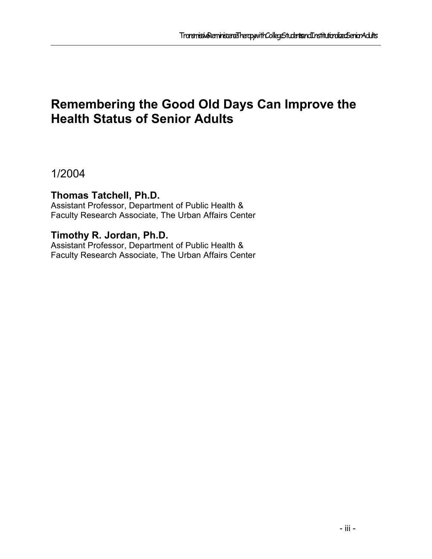## **Remembering the Good Old Days Can Improve the Health Status of Senior Adults**

1/2004

### **Thomas Tatchell, Ph.D.**

Assistant Professor, Department of Public Health & Faculty Research Associate, The Urban Affairs Center

### **Timothy R. Jordan, Ph.D.**

Assistant Professor, Department of Public Health & Faculty Research Associate, The Urban Affairs Center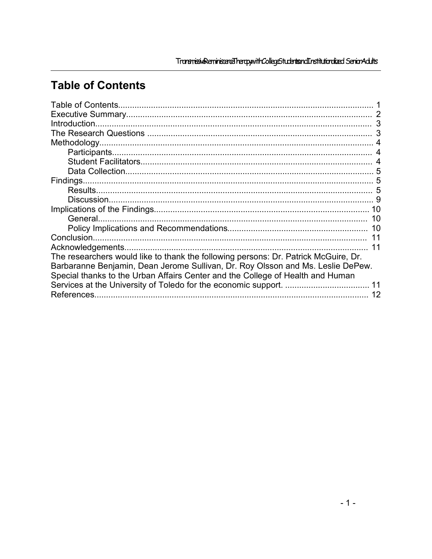# **Table of Contents**

|                                                                                     | 3  |
|-------------------------------------------------------------------------------------|----|
|                                                                                     | 3  |
|                                                                                     |    |
|                                                                                     |    |
|                                                                                     |    |
|                                                                                     | 5  |
|                                                                                     |    |
|                                                                                     | 5  |
|                                                                                     | 9  |
|                                                                                     | 10 |
|                                                                                     | 10 |
|                                                                                     | 10 |
|                                                                                     |    |
|                                                                                     | 11 |
| The researchers would like to thank the following persons: Dr. Patrick McGuire, Dr. |    |
| Barbaranne Benjamin, Dean Jerome Sullivan, Dr. Roy Olsson and Ms. Leslie DePew.     |    |
| Special thanks to the Urban Affairs Center and the College of Health and Human      |    |
|                                                                                     |    |
| References.                                                                         |    |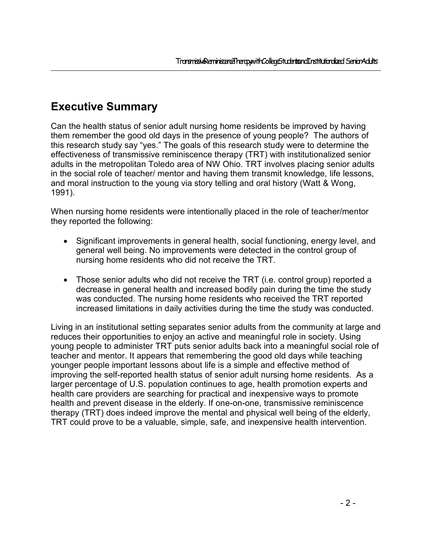### **Executive Summary**

Can the health status of senior adult nursing home residents be improved by having them remember the good old days in the presence of young people? The authors of this research study say "yes." The goals of this research study were to determine the effectiveness of transmissive reminiscence therapy (TRT) with institutionalized senior adults in the metropolitan Toledo area of NW Ohio. TRT involves placing senior adults in the social role of teacher/ mentor and having them transmit knowledge, life lessons, and moral instruction to the young via story telling and oral history (Watt & Wong, 1991).

When nursing home residents were intentionally placed in the role of teacher/mentor they reported the following:

- Significant improvements in general health, social functioning, energy level, and general well being. No improvements were detected in the control group of nursing home residents who did not receive the TRT.
- Those senior adults who did not receive the TRT (i.e. control group) reported a decrease in general health and increased bodily pain during the time the study was conducted. The nursing home residents who received the TRT reported increased limitations in daily activities during the time the study was conducted.

Living in an institutional setting separates senior adults from the community at large and reduces their opportunities to enjoy an active and meaningful role in society. Using young people to administer TRT puts senior adults back into a meaningful social role of teacher and mentor. It appears that remembering the good old days while teaching younger people important lessons about life is a simple and effective method of improving the self-reported health status of senior adult nursing home residents. As a larger percentage of U.S. population continues to age, health promotion experts and health care providers are searching for practical and inexpensive ways to promote health and prevent disease in the elderly. If one-on-one, transmissive reminiscence therapy (TRT) does indeed improve the mental and physical well being of the elderly, TRT could prove to be a valuable, simple, safe, and inexpensive health intervention.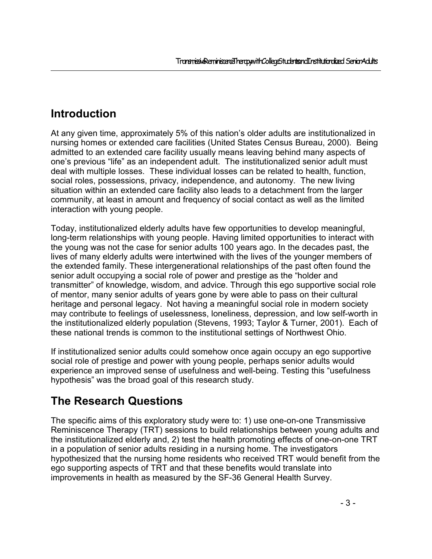### **Introduction**

At any given time, approximately 5% of this nation's older adults are institutionalized in nursing homes or extended care facilities (United States Census Bureau, 2000). Being admitted to an extended care facility usually means leaving behind many aspects of one's previous "life" as an independent adult. The institutionalized senior adult must deal with multiple losses. These individual losses can be related to health, function, social roles, possessions, privacy, independence, and autonomy. The new living situation within an extended care facility also leads to a detachment from the larger community, at least in amount and frequency of social contact as well as the limited interaction with young people.

Today, institutionalized elderly adults have few opportunities to develop meaningful, long-term relationships with young people. Having limited opportunities to interact with the young was not the case for senior adults 100 years ago. In the decades past, the lives of many elderly adults were intertwined with the lives of the younger members of the extended family. These intergenerational relationships of the past often found the senior adult occupying a social role of power and prestige as the "holder and transmitter" of knowledge, wisdom, and advice. Through this ego supportive social role of mentor, many senior adults of years gone by were able to pass on their cultural heritage and personal legacy. Not having a meaningful social role in modern society may contribute to feelings of uselessness, loneliness, depression, and low self-worth in the institutionalized elderly population (Stevens, 1993; Taylor & Turner, 2001). Each of these national trends is common to the institutional settings of Northwest Ohio.

If institutionalized senior adults could somehow once again occupy an ego supportive social role of prestige and power with young people, perhaps senior adults would experience an improved sense of usefulness and well-being. Testing this "usefulness hypothesis" was the broad goal of this research study.

### **The Research Questions**

The specific aims of this exploratory study were to: 1) use one-on-one Transmissive Reminiscence Therapy (TRT) sessions to build relationships between young adults and the institutionalized elderly and, 2) test the health promoting effects of one-on-one TRT in a population of senior adults residing in a nursing home. The investigators hypothesized that the nursing home residents who received TRT would benefit from the ego supporting aspects of TRT and that these benefits would translate into improvements in health as measured by the SF-36 General Health Survey.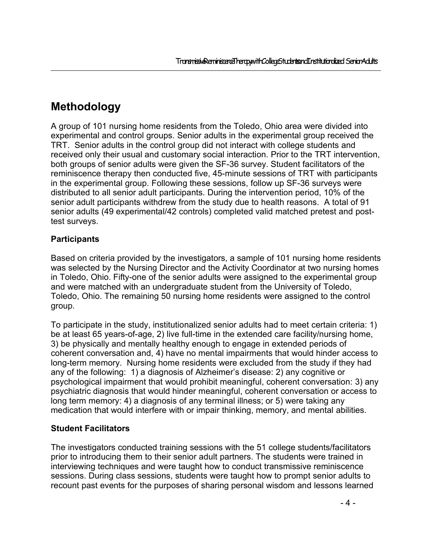### **Methodology**

A group of 101 nursing home residents from the Toledo, Ohio area were divided into experimental and control groups. Senior adults in the experimental group received the TRT. Senior adults in the control group did not interact with college students and received only their usual and customary social interaction. Prior to the TRT intervention, both groups of senior adults were given the SF-36 survey. Student facilitators of the reminiscence therapy then conducted five, 45-minute sessions of TRT with participants in the experimental group. Following these sessions, follow up SF-36 surveys were distributed to all senior adult participants. During the intervention period, 10% of the senior adult participants withdrew from the study due to health reasons. A total of 91 senior adults (49 experimental/42 controls) completed valid matched pretest and posttest surveys.

#### **Participants**

Based on criteria provided by the investigators, a sample of 101 nursing home residents was selected by the Nursing Director and the Activity Coordinator at two nursing homes in Toledo, Ohio. Fifty-one of the senior adults were assigned to the experimental group and were matched with an undergraduate student from the University of Toledo, Toledo, Ohio. The remaining 50 nursing home residents were assigned to the control group.

To participate in the study, institutionalized senior adults had to meet certain criteria: 1) be at least 65 years-of-age, 2) live full-time in the extended care facility/nursing home, 3) be physically and mentally healthy enough to engage in extended periods of coherent conversation and, 4) have no mental impairments that would hinder access to long-term memory. Nursing home residents were excluded from the study if they had any of the following: 1) a diagnosis of Alzheimer's disease: 2) any cognitive or psychological impairment that would prohibit meaningful, coherent conversation: 3) any psychiatric diagnosis that would hinder meaningful, coherent conversation or access to long term memory: 4) a diagnosis of any terminal illness; or 5) were taking any medication that would interfere with or impair thinking, memory, and mental abilities.

### **Student Facilitators**

The investigators conducted training sessions with the 51 college students/facilitators prior to introducing them to their senior adult partners. The students were trained in interviewing techniques and were taught how to conduct transmissive reminiscence sessions. During class sessions, students were taught how to prompt senior adults to recount past events for the purposes of sharing personal wisdom and lessons learned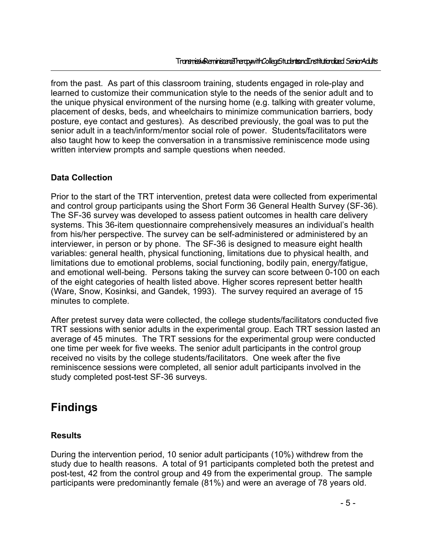from the past. As part of this classroom training, students engaged in role-play and learned to customize their communication style to the needs of the senior adult and to the unique physical environment of the nursing home (e.g. talking with greater volume, placement of desks, beds, and wheelchairs to minimize communication barriers, body posture, eye contact and gestures). As described previously, the goal was to put the senior adult in a teach/inform/mentor social role of power. Students/facilitators were also taught how to keep the conversation in a transmissive reminiscence mode using written interview prompts and sample questions when needed.

#### **Data Collection**

Prior to the start of the TRT intervention, pretest data were collected from experimental and control group participants using the Short Form 36 General Health Survey (SF-36). The SF-36 survey was developed to assess patient outcomes in health care delivery systems. This 36-item questionnaire comprehensively measures an individual's health from his/her perspective. The survey can be self-administered or administered by an interviewer, in person or by phone. The SF-36 is designed to measure eight health variables: general health, physical functioning, limitations due to physical health, and limitations due to emotional problems, social functioning, bodily pain, energy/fatigue, and emotional well-being. Persons taking the survey can score between 0-100 on each of the eight categories of health listed above. Higher scores represent better health (Ware, Snow, Kosinksi, and Gandek, 1993). The survey required an average of 15 minutes to complete.

After pretest survey data were collected, the college students/facilitators conducted five TRT sessions with senior adults in the experimental group. Each TRT session lasted an average of 45 minutes. The TRT sessions for the experimental group were conducted one time per week for five weeks. The senior adult participants in the control group received no visits by the college students/facilitators. One week after the five reminiscence sessions were completed, all senior adult participants involved in the study completed post-test SF-36 surveys.

### **Findings**

#### **Results**

During the intervention period, 10 senior adult participants (10%) withdrew from the study due to health reasons. A total of 91 participants completed both the pretest and post-test, 42 from the control group and 49 from the experimental group. The sample participants were predominantly female (81%) and were an average of 78 years old.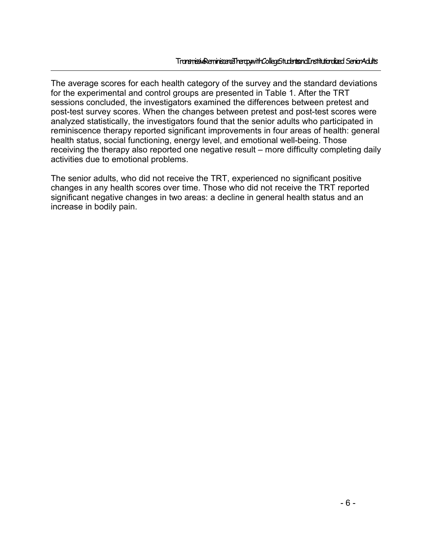The average scores for each health category of the survey and the standard deviations for the experimental and control groups are presented in Table 1. After the TRT sessions concluded, the investigators examined the differences between pretest and post-test survey scores. When the changes between pretest and post-test scores were analyzed statistically, the investigators found that the senior adults who participated in reminiscence therapy reported significant improvements in four areas of health: general health status, social functioning, energy level, and emotional well-being. Those receiving the therapy also reported one negative result – more difficulty completing daily activities due to emotional problems.

The senior adults, who did not receive the TRT, experienced no significant positive changes in any health scores over time. Those who did not receive the TRT reported significant negative changes in two areas: a decline in general health status and an increase in bodily pain.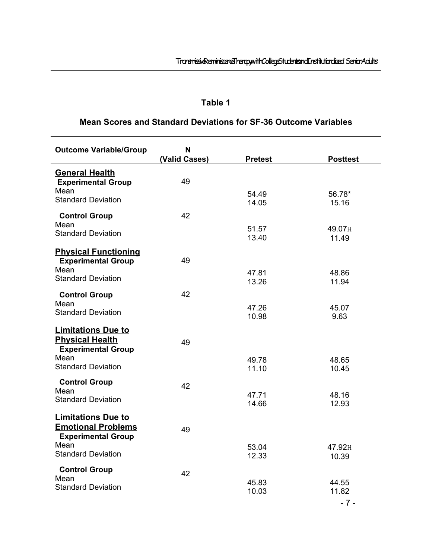### **Table 1**

### **Mean Scores and Standard Deviations for SF-36 Outcome Variables**

| <b>Outcome Variable/Group</b>                                                       | N<br>(Valid Cases) | <b>Pretest</b> | <b>Posttest</b> |
|-------------------------------------------------------------------------------------|--------------------|----------------|-----------------|
| <b>General Health</b><br><b>Experimental Group</b>                                  | 49                 |                |                 |
| Mean<br><b>Standard Deviation</b>                                                   |                    | 54.49<br>14.05 | 56.78*<br>15.16 |
| <b>Control Group</b><br>Mean                                                        | 42                 |                |                 |
| <b>Standard Deviation</b>                                                           |                    | 51.57<br>13.40 | 49.07H<br>11.49 |
| <b>Physical Functioning</b><br><b>Experimental Group</b>                            | 49                 |                |                 |
| Mean<br><b>Standard Deviation</b>                                                   |                    | 47.81<br>13.26 | 48.86<br>11.94  |
| <b>Control Group</b><br>Mean                                                        | 42                 |                |                 |
| <b>Standard Deviation</b>                                                           |                    | 47.26<br>10.98 | 45.07<br>9.63   |
| <b>Limitations Due to</b><br><b>Physical Health</b><br><b>Experimental Group</b>    | 49                 |                |                 |
| Mean<br><b>Standard Deviation</b>                                                   |                    | 49.78<br>11.10 | 48.65<br>10.45  |
| <b>Control Group</b><br>Mean                                                        | 42                 |                |                 |
| <b>Standard Deviation</b>                                                           |                    | 47.71<br>14.66 | 48.16<br>12.93  |
| <b>Limitations Due to</b><br><b>Emotional Problems</b><br><b>Experimental Group</b> | 49                 |                |                 |
| Mean<br><b>Standard Deviation</b>                                                   |                    | 53.04<br>12.33 | 47.92H<br>10.39 |
| <b>Control Group</b><br>Mean                                                        | 42                 |                |                 |
| <b>Standard Deviation</b>                                                           |                    | 45.83<br>10.03 | 44.55<br>11.82  |
|                                                                                     |                    |                | $-7-$           |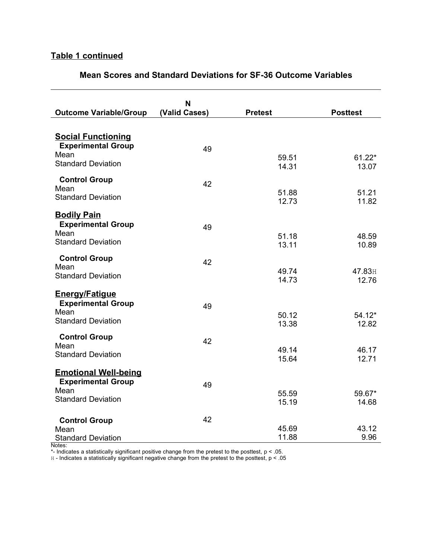### **Table 1 continued**

#### **Mean Scores and Standard Deviations for SF-36 Outcome Variables**

| <b>Outcome Variable/Group</b>                                                               | N<br>(Valid Cases) | <b>Pretest</b> | <b>Posttest</b> |
|---------------------------------------------------------------------------------------------|--------------------|----------------|-----------------|
| <b>Social Functioning</b><br><b>Experimental Group</b><br>Mean<br><b>Standard Deviation</b> | 49                 | 59.51          | $61.22*$        |
| <b>Control Group</b><br>Mean                                                                | 42                 | 14.31<br>51.88 | 13.07<br>51.21  |
| <b>Standard Deviation</b><br><b>Bodily Pain</b><br><b>Experimental Group</b>                |                    | 12.73          | 11.82           |
| Mean<br><b>Standard Deviation</b>                                                           | 49                 | 51.18<br>13.11 | 48.59<br>10.89  |
| <b>Control Group</b><br>Mean<br><b>Standard Deviation</b>                                   | 42                 | 49.74<br>14.73 | 47.83H<br>12.76 |
| <b>Energy/Fatigue</b><br><b>Experimental Group</b><br>Mean                                  | 49                 | 50.12          | $54.12*$        |
| <b>Standard Deviation</b><br><b>Control Group</b><br>Mean                                   | 42                 | 13.38          | 12.82           |
| <b>Standard Deviation</b><br><b>Emotional Well-being</b>                                    |                    | 49.14<br>15.64 | 46.17<br>12.71  |
| <b>Experimental Group</b><br>Mean<br><b>Standard Deviation</b>                              | 49                 | 55.59<br>15.19 | 59.67*<br>14.68 |
| <b>Control Group</b><br>Mean<br><b>Standard Deviation</b>                                   | 42                 | 45.69<br>11.88 | 43.12<br>9.96   |

Notes:

 $*$ - Indicates a statistically significant positive change from the pretest to the posttest,  $p < 0.05$ .

H - Indicates a statistically significant negative change from the pretest to the posttest, p < .05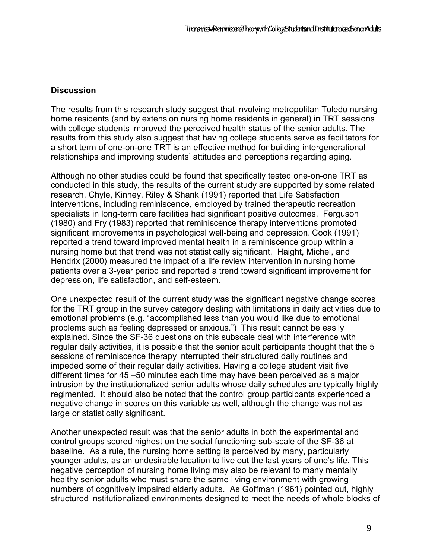#### **Discussion**

The results from this research study suggest that involving metropolitan Toledo nursing home residents (and by extension nursing home residents in general) in TRT sessions with college students improved the perceived health status of the senior adults. The results from this study also suggest that having college students serve as facilitators for a short term of one-on-one TRT is an effective method for building intergenerational relationships and improving students' attitudes and perceptions regarding aging.

Although no other studies could be found that specifically tested one-on-one TRT as conducted in this study, the results of the current study are supported by some related research. Chyle, Kinney, Riley & Shank (1991) reported that Life Satisfaction interventions, including reminiscence, employed by trained therapeutic recreation specialists in long-term care facilities had significant positive outcomes. Ferguson (1980) and Fry (1983) reported that reminiscence therapy interventions promoted significant improvements in psychological well-being and depression. Cook (1991) reported a trend toward improved mental health in a reminiscence group within a nursing home but that trend was not statistically significant. Haight, Michel, and Hendrix (2000) measured the impact of a life review intervention in nursing home patients over a 3-year period and reported a trend toward significant improvement for depression, life satisfaction, and self-esteem.

One unexpected result of the current study was the significant negative change scores for the TRT group in the survey category dealing with limitations in daily activities due to emotional problems (e.g. "accomplished less than you would like due to emotional problems such as feeling depressed or anxious.") This result cannot be easily explained. Since the SF-36 questions on this subscale deal with interference with regular daily activities, it is possible that the senior adult participants thought that the 5 sessions of reminiscence therapy interrupted their structured daily routines and impeded some of their regular daily activities. Having a college student visit five different times for 45 –50 minutes each time may have been perceived as a major intrusion by the institutionalized senior adults whose daily schedules are typically highly regimented. It should also be noted that the control group participants experienced a negative change in scores on this variable as well, although the change was not as large or statistically significant.

Another unexpected result was that the senior adults in both the experimental and control groups scored highest on the social functioning sub-scale of the SF-36 at baseline. As a rule, the nursing home setting is perceived by many, particularly younger adults, as an undesirable location to live out the last years of one's life. This negative perception of nursing home living may also be relevant to many mentally healthy senior adults who must share the same living environment with growing numbers of cognitively impaired elderly adults. As Goffman (1961) pointed out, highly structured institutionalized environments designed to meet the needs of whole blocks of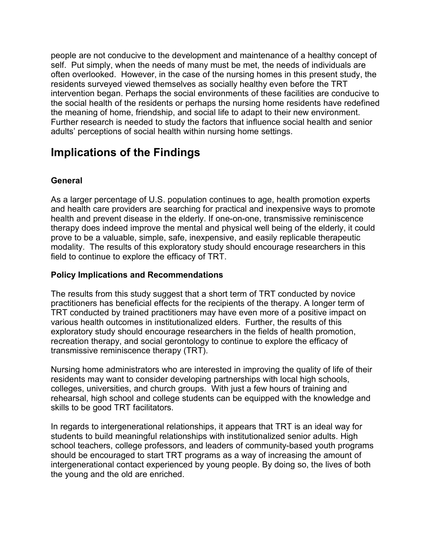people are not conducive to the development and maintenance of a healthy concept of self. Put simply, when the needs of many must be met, the needs of individuals are often overlooked. However, in the case of the nursing homes in this present study, the residents surveyed viewed themselves as socially healthy even before the TRT intervention began. Perhaps the social environments of these facilities are conducive to the social health of the residents or perhaps the nursing home residents have redefined the meaning of home, friendship, and social life to adapt to their new environment. Further research is needed to study the factors that influence social health and senior adults' perceptions of social health within nursing home settings.

### **Implications of the Findings**

#### **General**

As a larger percentage of U.S. population continues to age, health promotion experts and health care providers are searching for practical and inexpensive ways to promote health and prevent disease in the elderly. If one-on-one, transmissive reminiscence therapy does indeed improve the mental and physical well being of the elderly, it could prove to be a valuable, simple, safe, inexpensive, and easily replicable therapeutic modality. The results of this exploratory study should encourage researchers in this field to continue to explore the efficacy of TRT.

#### **Policy Implications and Recommendations**

The results from this study suggest that a short term of TRT conducted by novice practitioners has beneficial effects for the recipients of the therapy. A longer term of TRT conducted by trained practitioners may have even more of a positive impact on various health outcomes in institutionalized elders. Further, the results of this exploratory study should encourage researchers in the fields of health promotion, recreation therapy, and social gerontology to continue to explore the efficacy of transmissive reminiscence therapy (TRT).

Nursing home administrators who are interested in improving the quality of life of their residents may want to consider developing partnerships with local high schools, colleges, universities, and church groups. With just a few hours of training and rehearsal, high school and college students can be equipped with the knowledge and skills to be good TRT facilitators.

In regards to intergenerational relationships, it appears that TRT is an ideal way for students to build meaningful relationships with institutionalized senior adults. High school teachers, college professors, and leaders of community-based youth programs should be encouraged to start TRT programs as a way of increasing the amount of intergenerational contact experienced by young people. By doing so, the lives of both the young and the old are enriched.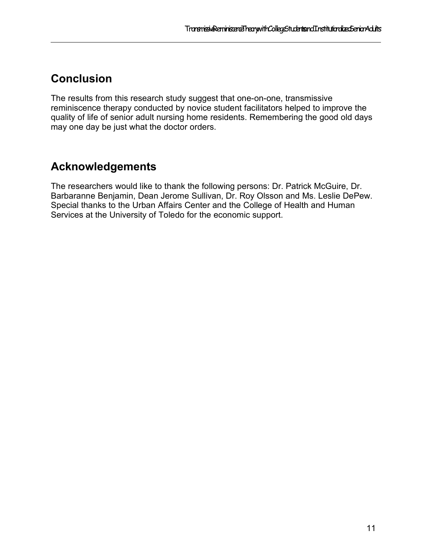### **Conclusion**

The results from this research study suggest that one-on-one, transmissive reminiscence therapy conducted by novice student facilitators helped to improve the quality of life of senior adult nursing home residents. Remembering the good old days may one day be just what the doctor orders.

### **Acknowledgements**

The researchers would like to thank the following persons: Dr. Patrick McGuire, Dr. Barbaranne Benjamin, Dean Jerome Sullivan, Dr. Roy Olsson and Ms. Leslie DePew. Special thanks to the Urban Affairs Center and the College of Health and Human Services at the University of Toledo for the economic support.